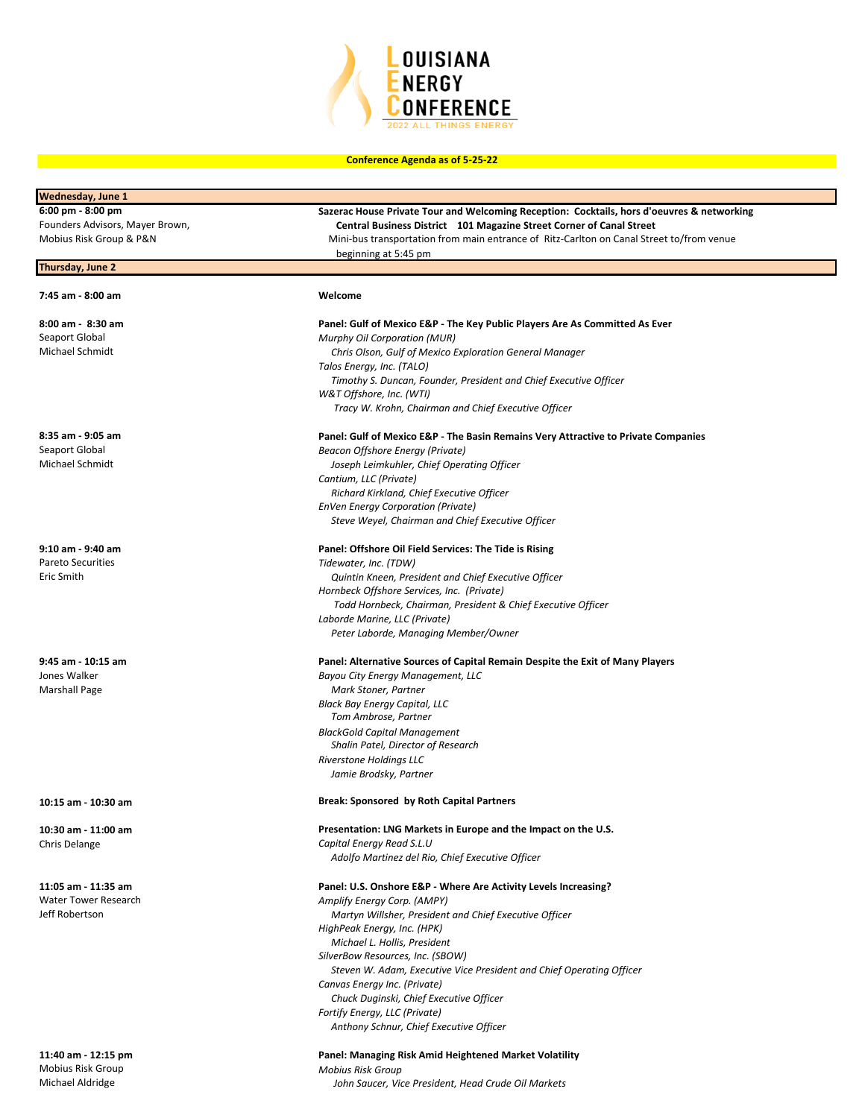

| Wednesday, June 1                           |                                                                                            |
|---------------------------------------------|--------------------------------------------------------------------------------------------|
| 6:00 pm - 8:00 pm                           | Sazerac House Private Tour and Welcoming Reception: Cocktails, hors d'oeuvres & networking |
| Founders Advisors, Mayer Brown,             | Central Business District 101 Magazine Street Corner of Canal Street                       |
| Mobius Risk Group & P&N                     | Mini-bus transportation from main entrance of Ritz-Carlton on Canal Street to/from venue   |
|                                             | beginning at 5:45 pm                                                                       |
| Thursday, June 2                            |                                                                                            |
| 7:45 am - 8:00 am                           | Welcome                                                                                    |
|                                             |                                                                                            |
| 8:00 am - 8:30 am                           | Panel: Gulf of Mexico E&P - The Key Public Players Are As Committed As Ever                |
| Seaport Global                              | <b>Murphy Oil Corporation (MUR)</b>                                                        |
| Michael Schmidt                             | Chris Olson, Gulf of Mexico Exploration General Manager                                    |
|                                             | Talos Energy, Inc. (TALO)                                                                  |
|                                             | Timothy S. Duncan, Founder, President and Chief Executive Officer                          |
|                                             | W&T Offshore, Inc. (WTI)                                                                   |
|                                             | Tracy W. Krohn, Chairman and Chief Executive Officer                                       |
| 8:35 am - 9:05 am                           | Panel: Gulf of Mexico E&P - The Basin Remains Very Attractive to Private Companies         |
| Seaport Global                              | Beacon Offshore Energy (Private)                                                           |
| Michael Schmidt                             | Joseph Leimkuhler, Chief Operating Officer                                                 |
|                                             | Cantium, LLC (Private)                                                                     |
|                                             | Richard Kirkland, Chief Executive Officer                                                  |
|                                             | <b>EnVen Energy Corporation (Private)</b>                                                  |
|                                             | Steve Weyel, Chairman and Chief Executive Officer                                          |
| 9:10 am - 9:40 am                           |                                                                                            |
| Pareto Securities                           | Panel: Offshore Oil Field Services: The Tide is Rising<br>Tidewater, Inc. (TDW)            |
| Eric Smith                                  | Quintin Kneen, President and Chief Executive Officer                                       |
|                                             | Hornbeck Offshore Services, Inc. (Private)                                                 |
|                                             | Todd Hornbeck, Chairman, President & Chief Executive Officer                               |
|                                             | Laborde Marine, LLC (Private)                                                              |
|                                             | Peter Laborde, Managing Member/Owner                                                       |
|                                             |                                                                                            |
| 9:45 am - 10:15 am<br>Jones Walker          | Panel: Alternative Sources of Capital Remain Despite the Exit of Many Players              |
|                                             | Bayou City Energy Management, LLC                                                          |
| <b>Marshall Page</b>                        | Mark Stoner, Partner                                                                       |
|                                             | Black Bay Energy Capital, LLC<br>Tom Ambrose, Partner                                      |
|                                             | <b>BlackGold Capital Management</b>                                                        |
|                                             | Shalin Patel, Director of Research                                                         |
|                                             | <b>Riverstone Holdings LLC</b>                                                             |
|                                             | Jamie Brodsky, Partner                                                                     |
| 10:15 am - 10:30 am                         | <b>Break: Sponsored by Roth Capital Partners</b>                                           |
| 10:30 am - 11:00 am                         | Presentation: LNG Markets in Europe and the Impact on the U.S.                             |
| Chris Delange                               | Capital Energy Read S.L.U                                                                  |
|                                             | Adolfo Martinez del Rio, Chief Executive Officer                                           |
|                                             |                                                                                            |
| 11:05 am - 11:35 am<br>Water Tower Research | Panel: U.S. Onshore E&P - Where Are Activity Levels Increasing?                            |
| Jeff Robertson                              | Amplify Energy Corp. (AMPY)                                                                |
|                                             | Martyn Willsher, President and Chief Executive Officer<br>HighPeak Energy, Inc. (HPK)      |
|                                             | Michael L. Hollis, President                                                               |
|                                             | SilverBow Resources, Inc. (SBOW)                                                           |
|                                             | Steven W. Adam, Executive Vice President and Chief Operating Officer                       |
|                                             | Canvas Energy Inc. (Private)                                                               |
|                                             | Chuck Duginski, Chief Executive Officer                                                    |
|                                             | Fortify Energy, LLC (Private)                                                              |
|                                             | Anthony Schnur, Chief Executive Officer                                                    |
|                                             |                                                                                            |

John Saucer, Vice President, Head Crude Oil Markets

**11:40 am - 12:15 pm Panel: Managing Risk Amid Heightened Market Volatility**  Mobius Risk Group *Mobius Risk Group*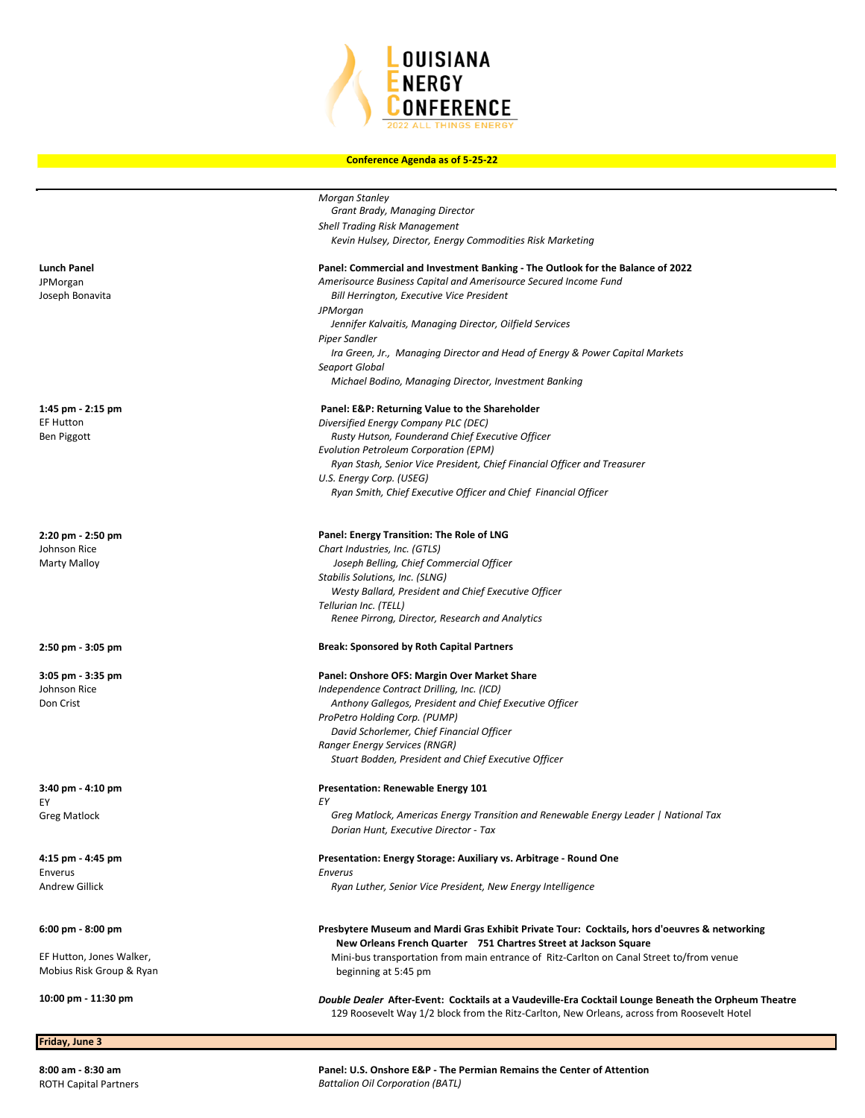

|                          | <b>Morgan Stanley</b>                                                                                                                                             |
|--------------------------|-------------------------------------------------------------------------------------------------------------------------------------------------------------------|
|                          | Grant Brady, Managing Director                                                                                                                                    |
|                          | <b>Shell Trading Risk Management</b><br>Kevin Hulsey, Director, Energy Commodities Risk Marketing                                                                 |
|                          |                                                                                                                                                                   |
| Lunch Panel              | Panel: Commercial and Investment Banking - The Outlook for the Balance of 2022                                                                                    |
| JPMorgan                 | Amerisource Business Capital and Amerisource Secured Income Fund                                                                                                  |
| Joseph Bonavita          | Bill Herrington, Executive Vice President                                                                                                                         |
|                          | <b>JPMorgan</b>                                                                                                                                                   |
|                          | Jennifer Kalvaitis, Managing Director, Oilfield Services                                                                                                          |
|                          | Piper Sandler                                                                                                                                                     |
|                          | Ira Green, Jr., Managing Director and Head of Energy & Power Capital Markets<br>Seaport Global                                                                    |
|                          | Michael Bodino, Managing Director, Investment Banking                                                                                                             |
|                          |                                                                                                                                                                   |
| 1:45 pm - 2:15 pm        | Panel: E&P: Returning Value to the Shareholder                                                                                                                    |
| <b>EF Hutton</b>         | Diversified Energy Company PLC (DEC)                                                                                                                              |
| Ben Piggott              | Rusty Hutson, Founderand Chief Executive Officer                                                                                                                  |
|                          | Evolution Petroleum Corporation (EPM)                                                                                                                             |
|                          | Ryan Stash, Senior Vice President, Chief Financial Officer and Treasurer<br>U.S. Energy Corp. (USEG)                                                              |
|                          | Ryan Smith, Chief Executive Officer and Chief Financial Officer                                                                                                   |
|                          |                                                                                                                                                                   |
| 2:20 pm - 2:50 pm        | Panel: Energy Transition: The Role of LNG                                                                                                                         |
| Johnson Rice             | Chart Industries, Inc. (GTLS)                                                                                                                                     |
| Marty Malloy             | Joseph Belling, Chief Commercial Officer                                                                                                                          |
|                          | Stabilis Solutions, Inc. (SLNG)                                                                                                                                   |
|                          | Westy Ballard, President and Chief Executive Officer                                                                                                              |
|                          | Tellurian Inc. (TELL)                                                                                                                                             |
|                          | Renee Pirrong, Director, Research and Analytics                                                                                                                   |
| 2:50 pm - 3:05 pm        | <b>Break: Sponsored by Roth Capital Partners</b>                                                                                                                  |
| 3:05 pm - 3:35 pm        | Panel: Onshore OFS: Margin Over Market Share                                                                                                                      |
| Johnson Rice             | Independence Contract Drilling, Inc. (ICD)                                                                                                                        |
| Don Crist                | Anthony Gallegos, President and Chief Executive Officer                                                                                                           |
|                          | ProPetro Holding Corp. (PUMP)                                                                                                                                     |
|                          | David Schorlemer, Chief Financial Officer                                                                                                                         |
|                          | <b>Ranger Energy Services (RNGR)</b>                                                                                                                              |
|                          | Stuart Bodden, President and Chief Executive Officer                                                                                                              |
| 3:40 pm - 4:10 pm        | Presentation: Renewable Energy 101                                                                                                                                |
| EY                       | EY                                                                                                                                                                |
| Greg Matlock             | Greg Matlock, Americas Energy Transition and Renewable Energy Leader   National Tax                                                                               |
|                          | Dorian Hunt, Executive Director - Tax                                                                                                                             |
| 4:15 pm - 4:45 pm        | Presentation: Energy Storage: Auxiliary vs. Arbitrage - Round One                                                                                                 |
| Enverus                  | Enverus                                                                                                                                                           |
| Andrew Gillick           | Ryan Luther, Senior Vice President, New Energy Intelligence                                                                                                       |
|                          |                                                                                                                                                                   |
| 6:00 pm - 8:00 pm        | Presbytere Museum and Mardi Gras Exhibit Private Tour: Cocktails, hors d'oeuvres & networking<br>New Orleans French Quarter 751 Chartres Street at Jackson Square |
| EF Hutton, Jones Walker, | Mini-bus transportation from main entrance of Ritz-Carlton on Canal Street to/from venue                                                                          |
| Mobius Risk Group & Ryan | beginning at 5:45 pm                                                                                                                                              |
| 10:00 pm - 11:30 pm      | Double Dealer After-Event: Cocktails at a Vaudeville-Era Cocktail Lounge Beneath the Orpheum Theatre                                                              |
|                          | 129 Roosevelt Way 1/2 block from the Ritz-Carlton, New Orleans, across from Roosevelt Hotel                                                                       |
|                          |                                                                                                                                                                   |
| Friday, June 3           |                                                                                                                                                                   |

**8:00 am - 8:30 am Panel: U.S. Onshore E&P - The Permian Remains the Center of Attention** ROTH Capital Partners *Battalion Oil Corporation (BATL)*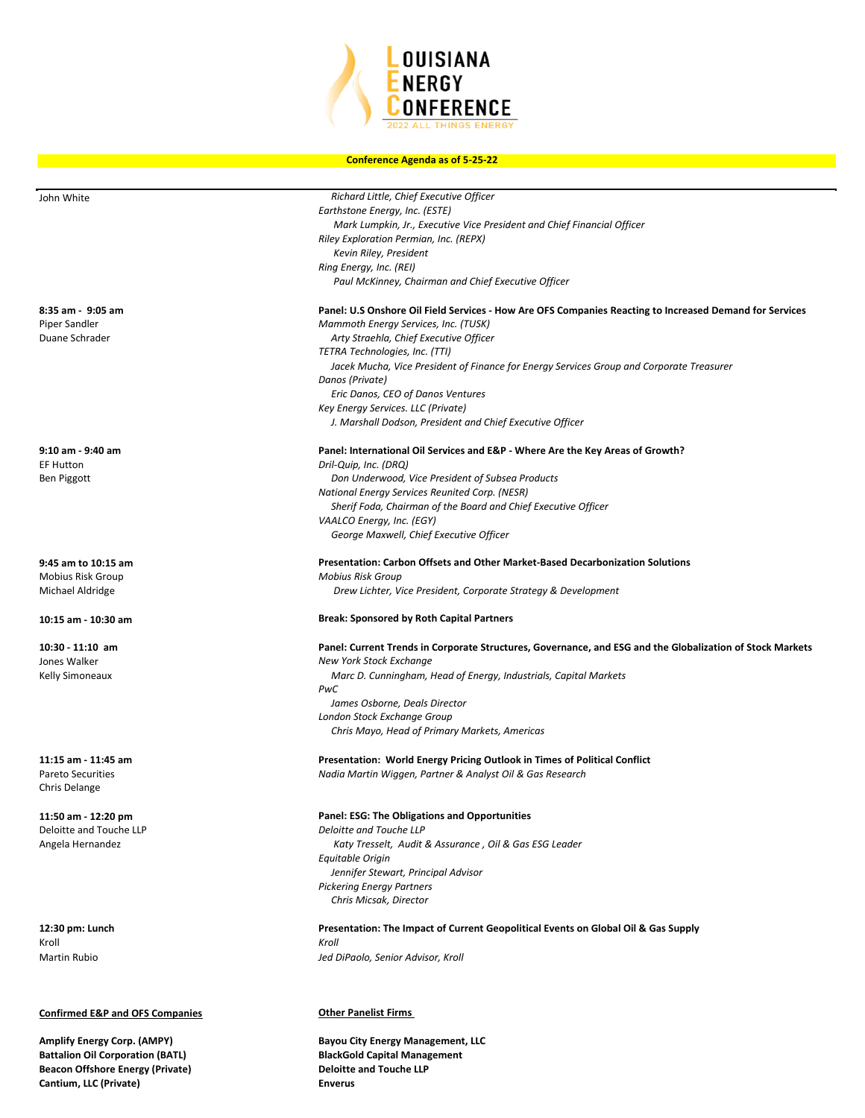

| John White                                | Richard Little, Chief Executive Officer                                                                   |
|-------------------------------------------|-----------------------------------------------------------------------------------------------------------|
|                                           | Earthstone Energy, Inc. (ESTE)                                                                            |
|                                           | Mark Lumpkin, Jr., Executive Vice President and Chief Financial Officer                                   |
|                                           | Riley Exploration Permian, Inc. (REPX)                                                                    |
|                                           | Kevin Riley, President                                                                                    |
|                                           | Ring Energy, Inc. (REI)                                                                                   |
|                                           | Paul McKinney, Chairman and Chief Executive Officer                                                       |
| 8:35 am - 9:05 am                         | Panel: U.S Onshore Oil Field Services - How Are OFS Companies Reacting to Increased Demand for Services   |
| Piper Sandler                             | Mammoth Energy Services, Inc. (TUSK)                                                                      |
| Duane Schrader                            | Arty Straehla, Chief Executive Officer                                                                    |
|                                           | TETRA Technologies, Inc. (TTI)                                                                            |
|                                           | Jacek Mucha, Vice President of Finance for Energy Services Group and Corporate Treasurer                  |
|                                           | Danos (Private)                                                                                           |
|                                           | Eric Danos, CEO of Danos Ventures                                                                         |
|                                           | Key Energy Services. LLC (Private)                                                                        |
|                                           | J. Marshall Dodson, President and Chief Executive Officer                                                 |
| 9:10 am - 9:40 am                         | Panel: International Oil Services and E&P - Where Are the Key Areas of Growth?                            |
| <b>EF Hutton</b>                          | Dril-Quip, Inc. (DRQ)                                                                                     |
| Ben Piggott                               | Don Underwood, Vice President of Subsea Products                                                          |
|                                           | National Energy Services Reunited Corp. (NESR)                                                            |
|                                           | Sherif Foda, Chairman of the Board and Chief Executive Officer                                            |
|                                           | VAALCO Energy, Inc. (EGY)                                                                                 |
|                                           | George Maxwell, Chief Executive Officer                                                                   |
| 9:45 am to 10:15 am                       | Presentation: Carbon Offsets and Other Market-Based Decarbonization Solutions                             |
| Mobius Risk Group                         | <b>Mobius Risk Group</b>                                                                                  |
| Michael Aldridge                          | Drew Lichter, Vice President, Corporate Strategy & Development                                            |
| 10:15 am - 10:30 am                       | <b>Break: Sponsored by Roth Capital Partners</b>                                                          |
| $10:30 - 11:10$ am                        | Panel: Current Trends in Corporate Structures, Governance, and ESG and the Globalization of Stock Markets |
| Jones Walker                              | New York Stock Exchange                                                                                   |
| Kelly Simoneaux                           | Marc D. Cunningham, Head of Energy, Industrials, Capital Markets                                          |
|                                           | PwC                                                                                                       |
|                                           | James Osborne, Deals Director<br>London Stock Exchange Group                                              |
|                                           | Chris Mayo, Head of Primary Markets, Americas                                                             |
|                                           |                                                                                                           |
| 11:15 am - 11:45 am                       | Presentation: World Energy Pricing Outlook in Times of Political Conflict                                 |
| <b>Pareto Securities</b><br>Chris Delange | Nadia Martin Wiggen, Partner & Analyst Oil & Gas Research                                                 |
|                                           |                                                                                                           |
| 11:50 am - 12:20 pm                       | Panel: ESG: The Obligations and Opportunities                                                             |
| Deloitte and Touche LLP                   | Deloitte and Touche LLP                                                                                   |
| Angela Hernandez                          | Katy Tresselt, Audit & Assurance, Oil & Gas ESG Leader                                                    |
|                                           | Equitable Origin                                                                                          |
|                                           | Jennifer Stewart, Principal Advisor<br><b>Pickering Energy Partners</b>                                   |
|                                           | Chris Micsak, Director                                                                                    |
| 12:30 pm: Lunch                           | Presentation: The Impact of Current Geopolitical Events on Global Oil & Gas Supply                        |
| Kroll                                     | Kroll                                                                                                     |
| <b>Martin Rubio</b>                       | Jed DiPaolo, Senior Advisor, Kroll                                                                        |
|                                           |                                                                                                           |
|                                           |                                                                                                           |

## **Confirmed E&P and OFS Companies COMPANIES Other Panelist Firms**

**Battalion Oil Corporation (BATL)** 

**Amplify Energy Corp. (AMPY) Bayou City Energy Management, LLC Beacon Offshore Energy (Private) Deloitte and Touche LLP Cantium, LLC (Private) Enverus**